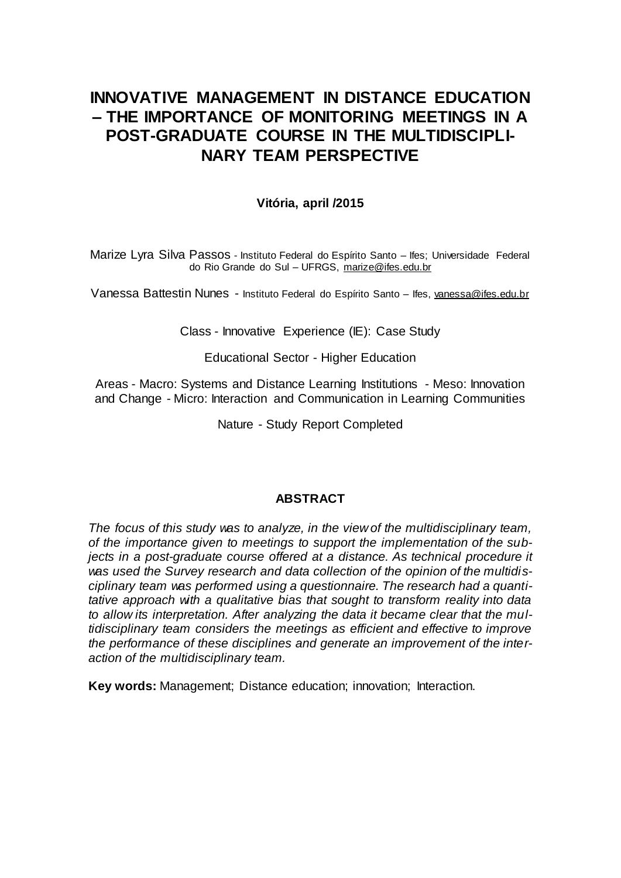# **INNOVATIVE MANAGEMENT IN DISTANCE EDUCATION – THE IMPORTANCE OF MONITORING MEETINGS IN A POST-GRADUATE COURSE IN THE MULTIDISCIPLI-NARY TEAM PERSPECTIVE**

# **Vitória, april /2015**

Marize Lyra Silva Passos - Instituto Federal do Espírito Santo – Ifes; Universidade Federal do Rio Grande do Sul – UFRGS, [marize@ifes.edu.br](mailto:marize@ifes.edu.br)

Vanessa Battestin Nunes - Instituto Federal do Espírito Santo – Ifes[, vanessa@ifes.edu.br](mailto:vanessa@ifes.edu.br)

Class - Innovative Experience (IE): Case Study

Educational Sector - Higher Education

Areas - Macro: Systems and Distance Learning Institutions - Meso: Innovation and Change - Micro: Interaction and Communication in Learning Communities

Nature - Study Report Completed

## **ABSTRACT**

*The focus of this study was to analyze, in the view of the multidisciplinary team, of the importance given to meetings to support the implementation of the subjects in a post-graduate course offered at a distance. As technical procedure it was used the Survey research and data collection of the opinion of the multidisciplinary team was performed using a questionnaire. The research had a quantitative approach with a qualitative bias that sought to transform reality into data to allow its interpretation. After analyzing the data it became clear that the multidisciplinary team considers the meetings as efficient and effective to improve the performance of these disciplines and generate an improvement of the interaction of the multidisciplinary team.*

**Key words:** Management; Distance education; innovation; Interaction.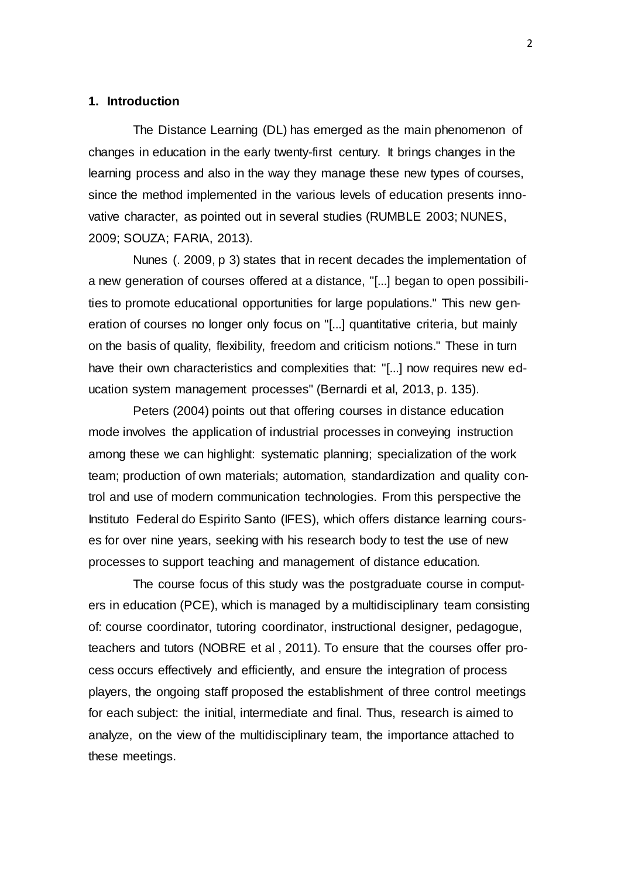#### **1. Introduction**

The Distance Learning (DL) has emerged as the main phenomenon of changes in education in the early twenty-first century. It brings changes in the learning process and also in the way they manage these new types of courses, since the method implemented in the various levels of education presents innovative character, as pointed out in several studies (RUMBLE 2003; NUNES, 2009; SOUZA; FARIA, 2013).

Nunes (. 2009, p 3) states that in recent decades the implementation of a new generation of courses offered at a distance, "[...] began to open possibilities to promote educational opportunities for large populations." This new generation of courses no longer only focus on "[...] quantitative criteria, but mainly on the basis of quality, flexibility, freedom and criticism notions." These in turn have their own characteristics and complexities that: "[...] now requires new education system management processes" (Bernardi et al, 2013, p. 135).

Peters (2004) points out that offering courses in distance education mode involves the application of industrial processes in conveying instruction among these we can highlight: systematic planning; specialization of the work team; production of own materials; automation, standardization and quality control and use of modern communication technologies. From this perspective the Instituto Federal do Espirito Santo (IFES), which offers distance learning courses for over nine years, seeking with his research body to test the use of new processes to support teaching and management of distance education.

The course focus of this study was the postgraduate course in computers in education (PCE), which is managed by a multidisciplinary team consisting of: course coordinator, tutoring coordinator, instructional designer, pedagogue, teachers and tutors (NOBRE et al , 2011). To ensure that the courses offer process occurs effectively and efficiently, and ensure the integration of process players, the ongoing staff proposed the establishment of three control meetings for each subject: the initial, intermediate and final. Thus, research is aimed to analyze, on the view of the multidisciplinary team, the importance attached to these meetings.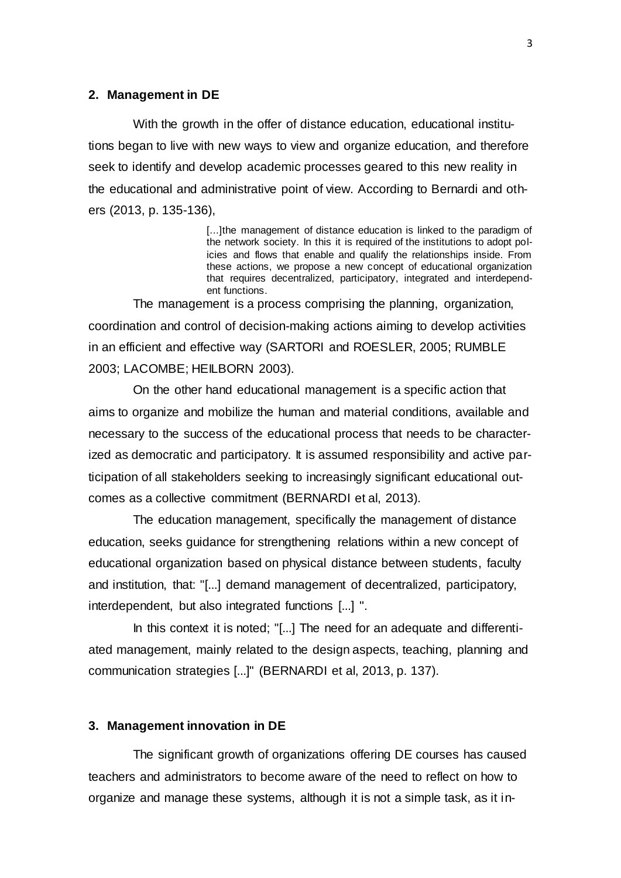#### **2. Management in DE**

With the growth in the offer of distance education, educational institutions began to live with new ways to view and organize education, and therefore seek to identify and develop academic processes geared to this new reality in the educational and administrative point of view. According to Bernardi and others (2013, p. 135-136),

> [...]the management of distance education is linked to the paradigm of the network society. In this it is required of the institutions to adopt policies and flows that enable and qualify the relationships inside. From these actions, we propose a new concept of educational organization that requires decentralized, participatory, integrated and interdependent functions.

The management is a process comprising the planning, organization, coordination and control of decision-making actions aiming to develop activities in an efficient and effective way (SARTORI and ROESLER, 2005; RUMBLE 2003; LACOMBE; HEILBORN 2003).

On the other hand educational management is a specific action that aims to organize and mobilize the human and material conditions, available and necessary to the success of the educational process that needs to be characterized as democratic and participatory. It is assumed responsibility and active participation of all stakeholders seeking to increasingly significant educational outcomes as a collective commitment (BERNARDI et al, 2013).

The education management, specifically the management of distance education, seeks guidance for strengthening relations within a new concept of educational organization based on physical distance between students, faculty and institution, that: "[...] demand management of decentralized, participatory, interdependent, but also integrated functions [...] ".

In this context it is noted; "[...] The need for an adequate and differentiated management, mainly related to the design aspects, teaching, planning and communication strategies [...]" (BERNARDI et al, 2013, p. 137).

#### **3. Management innovation in DE**

The significant growth of organizations offering DE courses has caused teachers and administrators to become aware of the need to reflect on how to organize and manage these systems, although it is not a simple task, as it in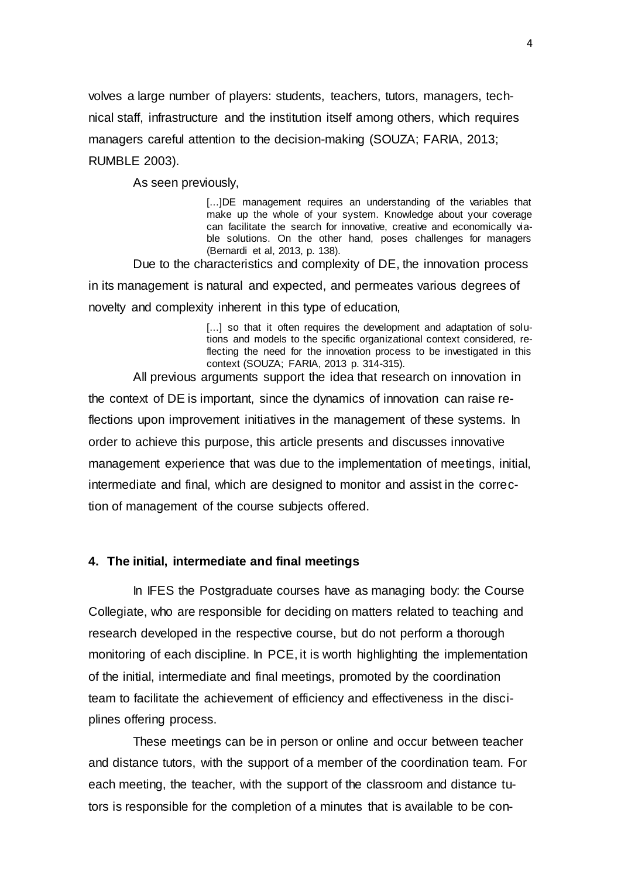volves a large number of players: students, teachers, tutors, managers, technical staff, infrastructure and the institution itself among others, which requires managers careful attention to the decision-making (SOUZA; FARIA, 2013; RUMBLE 2003).

As seen previously,

[...]DE management requires an understanding of the variables that make up the whole of your system. Knowledge about your coverage can facilitate the search for innovative, creative and economically viable solutions. On the other hand, poses challenges for managers (Bernardi et al, 2013, p. 138).

Due to the characteristics and complexity of DE, the innovation process in its management is natural and expected, and permeates various degrees of novelty and complexity inherent in this type of education,

> [...] so that it often requires the development and adaptation of solutions and models to the specific organizational context considered, reflecting the need for the innovation process to be investigated in this context (SOUZA; FARIA, 2013 p. 314-315).

All previous arguments support the idea that research on innovation in the context of DE is important, since the dynamics of innovation can raise reflections upon improvement initiatives in the management of these systems. In order to achieve this purpose, this article presents and discusses innovative management experience that was due to the implementation of meetings, initial, intermediate and final, which are designed to monitor and assist in the correction of management of the course subjects offered.

### **4. The initial, intermediate and final meetings**

In IFES the Postgraduate courses have as managing body: the Course Collegiate, who are responsible for deciding on matters related to teaching and research developed in the respective course, but do not perform a thorough monitoring of each discipline. In PCE, it is worth highlighting the implementation of the initial, intermediate and final meetings, promoted by the coordination team to facilitate the achievement of efficiency and effectiveness in the disciplines offering process.

These meetings can be in person or online and occur between teacher and distance tutors, with the support of a member of the coordination team. For each meeting, the teacher, with the support of the classroom and distance tutors is responsible for the completion of a minutes that is available to be con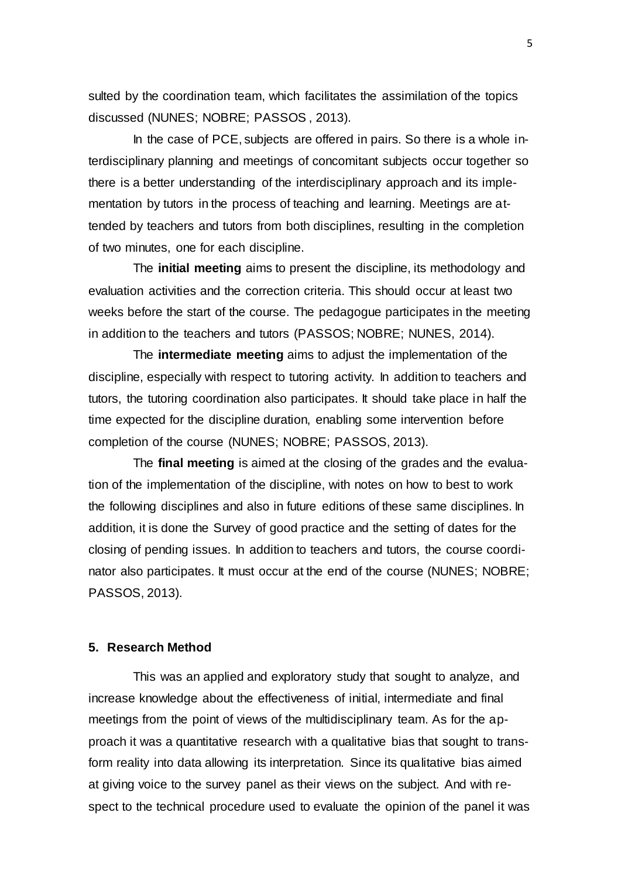sulted by the coordination team, which facilitates the assimilation of the topics discussed (NUNES; NOBRE; PASSOS , 2013).

In the case of PCE, subjects are offered in pairs. So there is a whole interdisciplinary planning and meetings of concomitant subjects occur together so there is a better understanding of the interdisciplinary approach and its implementation by tutors in the process of teaching and learning. Meetings are attended by teachers and tutors from both disciplines, resulting in the completion of two minutes, one for each discipline.

The **initial meeting** aims to present the discipline, its methodology and evaluation activities and the correction criteria. This should occur at least two weeks before the start of the course. The pedagogue participates in the meeting in addition to the teachers and tutors (PASSOS; NOBRE; NUNES, 2014).

The **intermediate meeting** aims to adjust the implementation of the discipline, especially with respect to tutoring activity. In addition to teachers and tutors, the tutoring coordination also participates. It should take place in half the time expected for the discipline duration, enabling some intervention before completion of the course (NUNES; NOBRE; PASSOS, 2013).

The **final meeting** is aimed at the closing of the grades and the evaluation of the implementation of the discipline, with notes on how to best to work the following disciplines and also in future editions of these same disciplines. In addition, it is done the Survey of good practice and the setting of dates for the closing of pending issues. In addition to teachers and tutors, the course coordinator also participates. It must occur at the end of the course (NUNES; NOBRE; PASSOS, 2013).

## **5. Research Method**

This was an applied and exploratory study that sought to analyze, and increase knowledge about the effectiveness of initial, intermediate and final meetings from the point of views of the multidisciplinary team. As for the approach it was a quantitative research with a qualitative bias that sought to transform reality into data allowing its interpretation. Since its qualitative bias aimed at giving voice to the survey panel as their views on the subject. And with respect to the technical procedure used to evaluate the opinion of the panel it was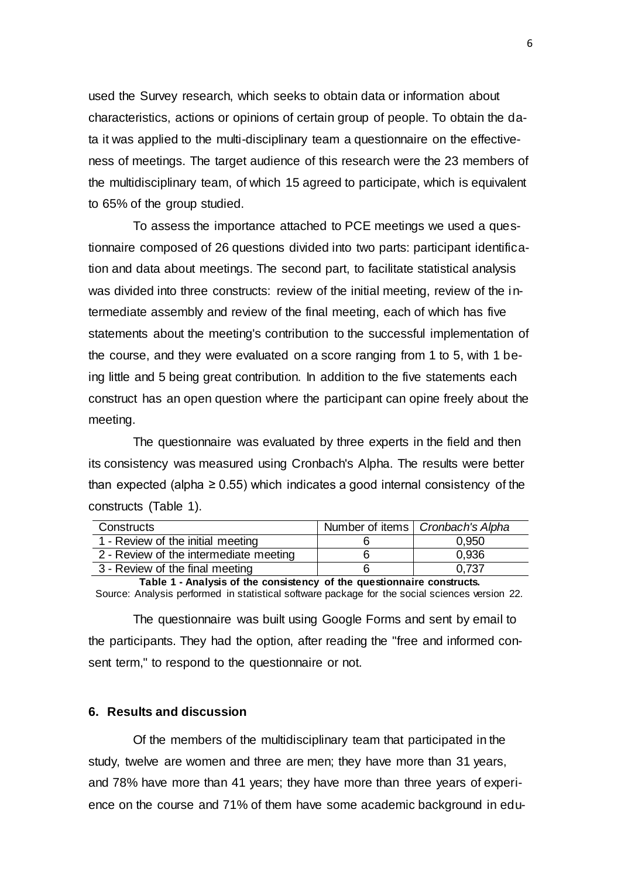used the Survey research, which seeks to obtain data or information about characteristics, actions or opinions of certain group of people. To obtain the data it was applied to the multi-disciplinary team a questionnaire on the effectiveness of meetings. The target audience of this research were the 23 members of the multidisciplinary team, of which 15 agreed to participate, which is equivalent to 65% of the group studied.

To assess the importance attached to PCE meetings we used a questionnaire composed of 26 questions divided into two parts: participant identification and data about meetings. The second part, to facilitate statistical analysis was divided into three constructs: review of the initial meeting, review of the intermediate assembly and review of the final meeting, each of which has five statements about the meeting's contribution to the successful implementation of the course, and they were evaluated on a score ranging from 1 to 5, with 1 being little and 5 being great contribution. In addition to the five statements each construct has an open question where the participant can opine freely about the meeting.

The questionnaire was evaluated by three experts in the field and then its consistency was measured using Cronbach's Alpha. The results were better than expected (alpha  $\geq$  0.55) which indicates a good internal consistency of the constructs (Table 1).

| Constructs                             | Number of items   Cronbach's Alpha |
|----------------------------------------|------------------------------------|
| 1 - Review of the initial meeting      | 0,950                              |
| 2 - Review of the intermediate meeting | 0.936                              |
| 3 - Review of the final meeting        | 0.737                              |

**Table 1 - Analysis of the consistency of the questionnaire constructs.**

Source: Analysis performed in statistical software package for the social sciences version 22.

The questionnaire was built using Google Forms and sent by email to the participants. They had the option, after reading the "free and informed consent term," to respond to the questionnaire or not.

#### **6. Results and discussion**

Of the members of the multidisciplinary team that participated in the study, twelve are women and three are men; they have more than 31 years, and 78% have more than 41 years; they have more than three years of experience on the course and 71% of them have some academic background in edu-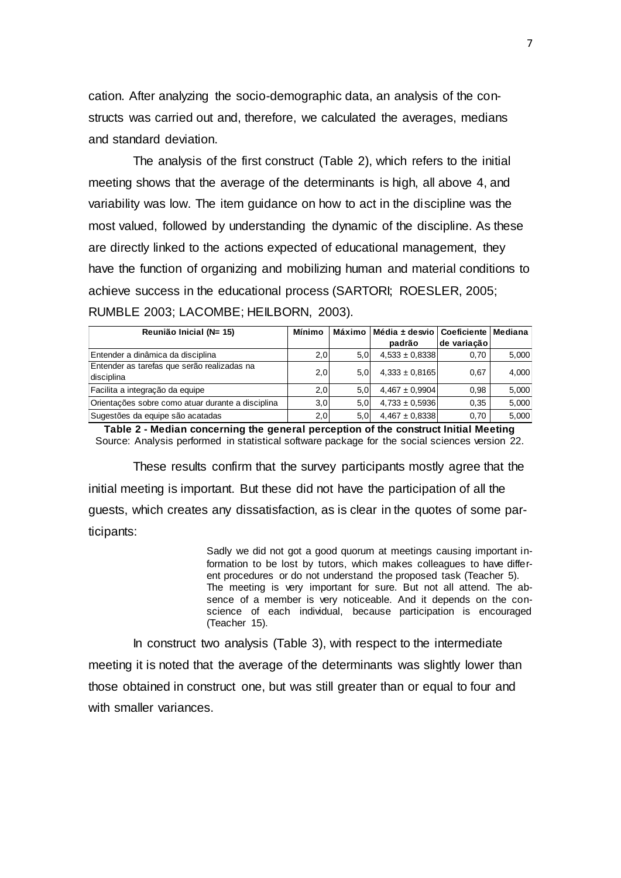cation. After analyzing the socio-demographic data, an analysis of the constructs was carried out and, therefore, we calculated the averages, medians and standard deviation.

The analysis of the first construct (Table 2), which refers to the initial meeting shows that the average of the determinants is high, all above 4, and variability was low. The item guidance on how to act in the discipline was the most valued, followed by understanding the dynamic of the discipline. As these are directly linked to the actions expected of educational management, they have the function of organizing and mobilizing human and material conditions to achieve success in the educational process (SARTORI; ROESLER, 2005; RUMBLE 2003; LACOMBE; HEILBORN, 2003).

| Reunião Inicial (N= 15)                                   | Mínimo | Máximo I | Média ± desvio   Coeficiente   Mediana |             |       |
|-----------------------------------------------------------|--------|----------|----------------------------------------|-------------|-------|
|                                                           |        |          | padrão                                 | de variação |       |
| Entender a dinâmica da disciplina                         | 2,0    | 5.0      | $4.533 \pm 0.8338$                     | 0.70        | 5,000 |
| Entender as tarefas que serão realizadas na<br>disciplina | 2,0    | 5.0      | $4,333 \pm 0,8165$                     | 0.67        | 4,000 |
| Facilita a integração da equipe                           | 2,0    | 5.0      | $4.467 \pm 0.9904$                     | 0.98        | 5,000 |
| Orientações sobre como atuar durante a disciplina         | 3,0    | 5.0      | $4,733 \pm 0,5936$                     | 0.35        | 5,000 |
| Sugestões da equipe são acatadas                          | 2,0    | 5,0      | $4,467 \pm 0,8338$                     | 0.70        | 5,000 |

**Table 2 - Median concerning the general perception of the construct Initial Meeting**  Source: Analysis performed in statistical software package for the social sciences version 22.

These results confirm that the survey participants mostly agree that the initial meeting is important. But these did not have the participation of all the guests, which creates any dissatisfaction, as is clear in the quotes of some participants:

> Sadly we did not got a good quorum at meetings causing important information to be lost by tutors, which makes colleagues to have different procedures or do not understand the proposed task (Teacher 5). The meeting is very important for sure. But not all attend. The absence of a member is very noticeable. And it depends on the conscience of each individual, because participation is encouraged (Teacher 15).

In construct two analysis (Table 3), with respect to the intermediate meeting it is noted that the average of the determinants was slightly lower than those obtained in construct one, but was still greater than or equal to four and with smaller variances.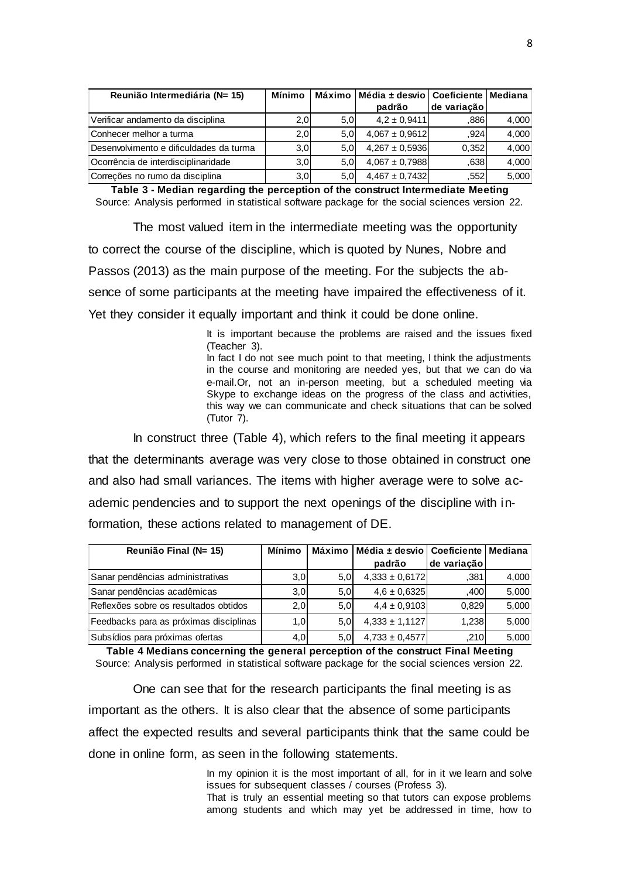| Reunião Intermediária (N= 15)           | Mínimo |                  | Máximo   Média ± desvio   Coeficiente   Mediana |             |       |
|-----------------------------------------|--------|------------------|-------------------------------------------------|-------------|-------|
|                                         |        |                  | padrão                                          | de variação |       |
| Verificar andamento da disciplina       | 2,0    | 5.0 <sub>1</sub> | $4.2 \pm 0.9411$                                | .886        | 4,000 |
| Conhecer melhor a turma                 | 2,0    | 5.0 <sub>1</sub> | $4.067 \pm 0.9612$                              | .924        | 4,000 |
| Desenvolvimento e dificuldades da turma | 3,0    | 5.0 <sub>l</sub> | $4,267 \pm 0,5936$                              | 0.352       | 4,000 |
| Ocorrência de interdisciplinaridade     | 3,0    | 5.0 <sub>l</sub> | $4.067 \pm 0.7988$                              | .638        | 4,000 |
| Correções no rumo da disciplina         | 3,0    | 5.0 <sub>1</sub> | $4,467 \pm 0,7432$                              | .552        | 5,000 |

| Reunião Intermediária (N= 15)                                                                                                                                                                                                                                | Mínimo        |     | Máximo   Média ± desvio                                                                                                                                                                                                                                                                                                                                                                                                                    | Coeficiente   Mediana |       |
|--------------------------------------------------------------------------------------------------------------------------------------------------------------------------------------------------------------------------------------------------------------|---------------|-----|--------------------------------------------------------------------------------------------------------------------------------------------------------------------------------------------------------------------------------------------------------------------------------------------------------------------------------------------------------------------------------------------------------------------------------------------|-----------------------|-------|
|                                                                                                                                                                                                                                                              |               |     | padrão                                                                                                                                                                                                                                                                                                                                                                                                                                     | de variação           |       |
| Verificar andamento da disciplina                                                                                                                                                                                                                            | 2,0           | 5,0 | $4,2 \pm 0,9411$                                                                                                                                                                                                                                                                                                                                                                                                                           | ,886                  | 4,000 |
| Conhecer melhor a turma                                                                                                                                                                                                                                      | 2,0           | 5,0 | $4,067 \pm 0,9612$                                                                                                                                                                                                                                                                                                                                                                                                                         | ,924                  | 4,000 |
| Desenvolvimento e dificuldades da turma                                                                                                                                                                                                                      | 3,0           | 5,0 | $4,267 \pm 0,5936$                                                                                                                                                                                                                                                                                                                                                                                                                         | 0,352                 | 4,000 |
| Ocorrência de interdisciplinaridade                                                                                                                                                                                                                          | 3,0           | 5,0 | $4,067 \pm 0,7988$                                                                                                                                                                                                                                                                                                                                                                                                                         | ,638                  | 4,000 |
| Correções no rumo da disciplina                                                                                                                                                                                                                              | 3,0           | 5,0 | $4,467 \pm 0,7432$                                                                                                                                                                                                                                                                                                                                                                                                                         | ,552                  | 5,000 |
| Table 3 - Median regarding the perception of the construct Intermediate Meeting<br>Source: Analysis performed in statistical software package for the social sciences version 22.                                                                            |               |     |                                                                                                                                                                                                                                                                                                                                                                                                                                            |                       |       |
| The most valued item in the intermediate meeting was the opportunity                                                                                                                                                                                         |               |     |                                                                                                                                                                                                                                                                                                                                                                                                                                            |                       |       |
| to correct the course of the discipline, which is quoted by Nunes, Nobre and                                                                                                                                                                                 |               |     |                                                                                                                                                                                                                                                                                                                                                                                                                                            |                       |       |
| Passos (2013) as the main purpose of the meeting. For the subjects the ab-                                                                                                                                                                                   |               |     |                                                                                                                                                                                                                                                                                                                                                                                                                                            |                       |       |
| sence of some participants at the meeting have impaired the effectiveness of it.                                                                                                                                                                             |               |     |                                                                                                                                                                                                                                                                                                                                                                                                                                            |                       |       |
| Yet they consider it equally important and think it could be done online.                                                                                                                                                                                    |               |     |                                                                                                                                                                                                                                                                                                                                                                                                                                            |                       |       |
| (Teacher 3).<br>(Tutor 7).                                                                                                                                                                                                                                   |               |     | It is important because the problems are raised and the issues fixed<br>In fact I do not see much point to that meeting, I think the adjustments<br>in the course and monitoring are needed yes, but that we can do via<br>e-mail.Or, not an in-person meeting, but a scheduled meeting via<br>Skype to exchange ideas on the progress of the class and activities,<br>this way we can communicate and check situations that can be solved |                       |       |
| In construct three (Table 4), which refers to the final meeting it appears                                                                                                                                                                                   |               |     |                                                                                                                                                                                                                                                                                                                                                                                                                                            |                       |       |
| that the determinants average was very close to those obtained in construct one                                                                                                                                                                              |               |     |                                                                                                                                                                                                                                                                                                                                                                                                                                            |                       |       |
| and also had small variances. The items with higher average were to solve ac-                                                                                                                                                                                |               |     |                                                                                                                                                                                                                                                                                                                                                                                                                                            |                       |       |
| ademic pendencies and to support the next openings of the discipline with in-                                                                                                                                                                                |               |     |                                                                                                                                                                                                                                                                                                                                                                                                                                            |                       |       |
| formation, these actions related to management of DE.                                                                                                                                                                                                        |               |     |                                                                                                                                                                                                                                                                                                                                                                                                                                            |                       |       |
| Reunião Final (N= 15)                                                                                                                                                                                                                                        | <b>Mínimo</b> |     | Máximo   Média ± desvio   Coeficiente   Mediana<br>padrão                                                                                                                                                                                                                                                                                                                                                                                  | de variação           |       |
| Sanar pendências administrativas                                                                                                                                                                                                                             | 3,0           | 5,0 | $4,333 \pm 0,6172$                                                                                                                                                                                                                                                                                                                                                                                                                         | ,381                  | 4,000 |
| Sanar pendências acadêmicas                                                                                                                                                                                                                                  | 3,0           | 5,0 | $4,6 \pm 0,6325$                                                                                                                                                                                                                                                                                                                                                                                                                           | ,400                  | 5,000 |
| Reflexões sobre os resultados obtidos                                                                                                                                                                                                                        | 2,0           | 5,0 | $4,4 \pm 0,9103$                                                                                                                                                                                                                                                                                                                                                                                                                           | 0,829                 | 5,000 |
| Feedbacks para as próximas disciplinas                                                                                                                                                                                                                       | 1,0           | 5,0 | $4,333 \pm 1,1127$                                                                                                                                                                                                                                                                                                                                                                                                                         | 1,238                 | 5,000 |
| Subsídios para próximas ofertas                                                                                                                                                                                                                              | 4,0           | 5,0 | $4,733 \pm 0,4577$                                                                                                                                                                                                                                                                                                                                                                                                                         | ,210                  | 5,000 |
| Table 4 Medians concerning the general perception of the construct Final Meeting<br>Source: Analysis performed in statistical software package for the social sciences version 22.<br>One can see that for the research participants the final meeting is as |               |     |                                                                                                                                                                                                                                                                                                                                                                                                                                            |                       |       |
| important as the others. It is also clear that the absence of some participants                                                                                                                                                                              |               |     |                                                                                                                                                                                                                                                                                                                                                                                                                                            |                       |       |
| affect the expected results and several participants think that the same could be                                                                                                                                                                            |               |     |                                                                                                                                                                                                                                                                                                                                                                                                                                            |                       |       |
| done in online form, as seen in the following statements.                                                                                                                                                                                                    |               |     |                                                                                                                                                                                                                                                                                                                                                                                                                                            |                       |       |
| issues for subsequent classes / courses (Profess 3).<br>That is truly an essential meeting so that tutors can expose problems                                                                                                                                |               |     | In my opinion it is the most important of all, for in it we learn and solve                                                                                                                                                                                                                                                                                                                                                                |                       |       |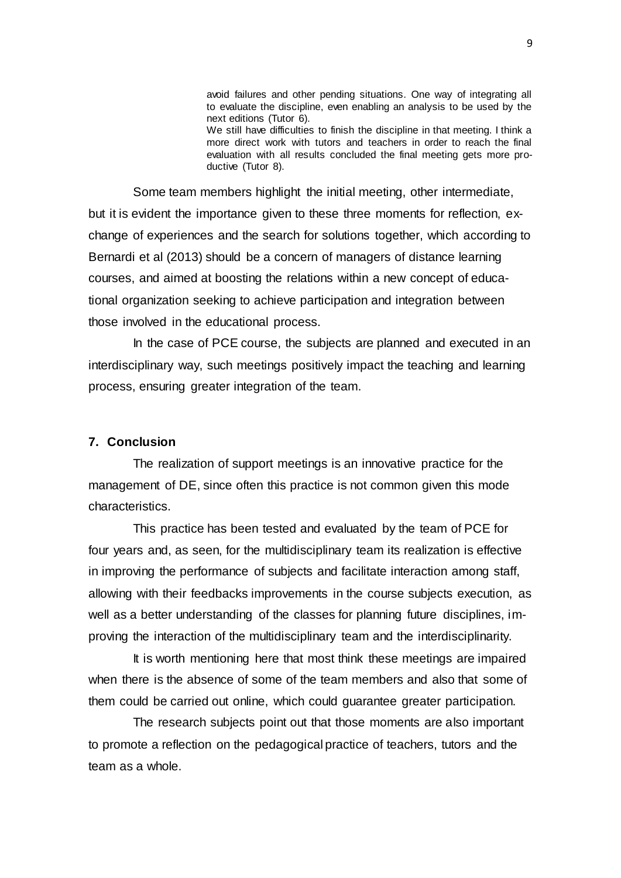avoid failures and other pending situations. One way of integrating all to evaluate the discipline, even enabling an analysis to be used by the next editions (Tutor 6). We still have difficulties to finish the discipline in that meeting. I think a more direct work with tutors and teachers in order to reach the final evaluation with all results concluded the final meeting gets more productive (Tutor 8).

Some team members highlight the initial meeting, other intermediate, but it is evident the importance given to these three moments for reflection, exchange of experiences and the search for solutions together, which according to Bernardi et al (2013) should be a concern of managers of distance learning courses, and aimed at boosting the relations within a new concept of educational organization seeking to achieve participation and integration between those involved in the educational process.

In the case of PCE course, the subjects are planned and executed in an interdisciplinary way, such meetings positively impact the teaching and learning process, ensuring greater integration of the team.

#### **7. Conclusion**

The realization of support meetings is an innovative practice for the management of DE, since often this practice is not common given this mode characteristics.

This practice has been tested and evaluated by the team of PCE for four years and, as seen, for the multidisciplinary team its realization is effective in improving the performance of subjects and facilitate interaction among staff, allowing with their feedbacks improvements in the course subjects execution, as well as a better understanding of the classes for planning future disciplines, improving the interaction of the multidisciplinary team and the interdisciplinarity.

It is worth mentioning here that most think these meetings are impaired when there is the absence of some of the team members and also that some of them could be carried out online, which could guarantee greater participation.

The research subjects point out that those moments are also important to promote a reflection on the pedagogical practice of teachers, tutors and the team as a whole.